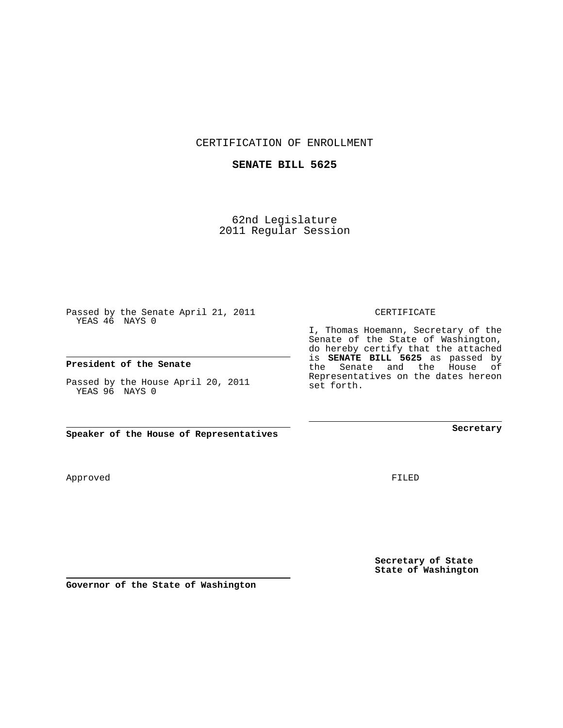CERTIFICATION OF ENROLLMENT

## **SENATE BILL 5625**

62nd Legislature 2011 Regular Session

Passed by the Senate April 21, 2011 YEAS 46 NAYS 0

#### **President of the Senate**

Passed by the House April 20, 2011 YEAS 96 NAYS 0

**Speaker of the House of Representatives**

Approved

FILED

**Secretary of State State of Washington**

**Governor of the State of Washington**

### CERTIFICATE

I, Thomas Hoemann, Secretary of the Senate of the State of Washington, do hereby certify that the attached is **SENATE BILL 5625** as passed by the Senate and the House of Representatives on the dates hereon set forth.

**Secretary**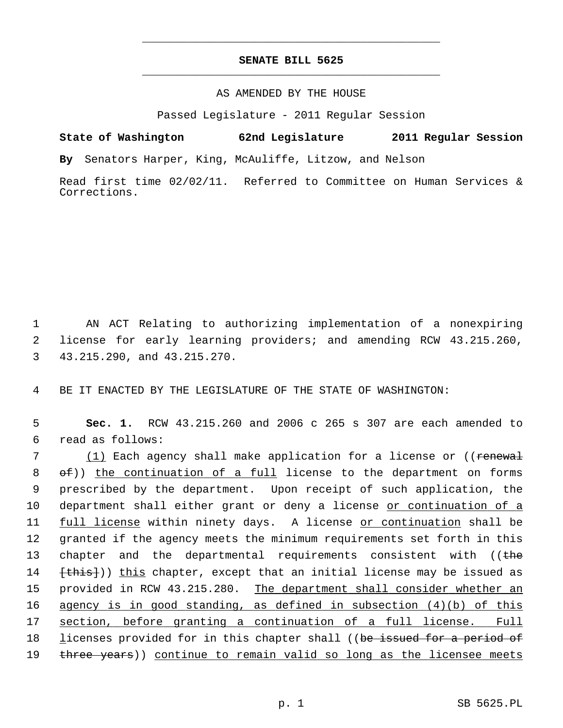## **SENATE BILL 5625** \_\_\_\_\_\_\_\_\_\_\_\_\_\_\_\_\_\_\_\_\_\_\_\_\_\_\_\_\_\_\_\_\_\_\_\_\_\_\_\_\_\_\_\_\_

\_\_\_\_\_\_\_\_\_\_\_\_\_\_\_\_\_\_\_\_\_\_\_\_\_\_\_\_\_\_\_\_\_\_\_\_\_\_\_\_\_\_\_\_\_

### AS AMENDED BY THE HOUSE

Passed Legislature - 2011 Regular Session

**State of Washington 62nd Legislature 2011 Regular Session**

**By** Senators Harper, King, McAuliffe, Litzow, and Nelson

Read first time 02/02/11. Referred to Committee on Human Services & Corrections.

 1 AN ACT Relating to authorizing implementation of a nonexpiring 2 license for early learning providers; and amending RCW 43.215.260, 3 43.215.290, and 43.215.270.

4 BE IT ENACTED BY THE LEGISLATURE OF THE STATE OF WASHINGTON:

 5 **Sec. 1.** RCW 43.215.260 and 2006 c 265 s 307 are each amended to 6 read as follows:

7 (1) Each agency shall make application for a license or ((renewal  $8 \quad \theta \in$ )) the continuation of a full license to the department on forms 9 prescribed by the department. Upon receipt of such application, the 10 department shall either grant or deny a license or continuation of a 11 full license within ninety days. A license or continuation shall be 12 granted if the agency meets the minimum requirements set forth in this 13 chapter and the departmental requirements consistent with ((the 14 **[this])**) this chapter, except that an initial license may be issued as 15 provided in RCW 43.215.280. The department shall consider whether an 16 agency is in good standing, as defined in subsection (4)(b) of this 17 section, before granting a continuation of a full license. Full 18 licenses provided for in this chapter shall ((be issued for a period of 19 three years)) continue to remain valid so long as the licensee meets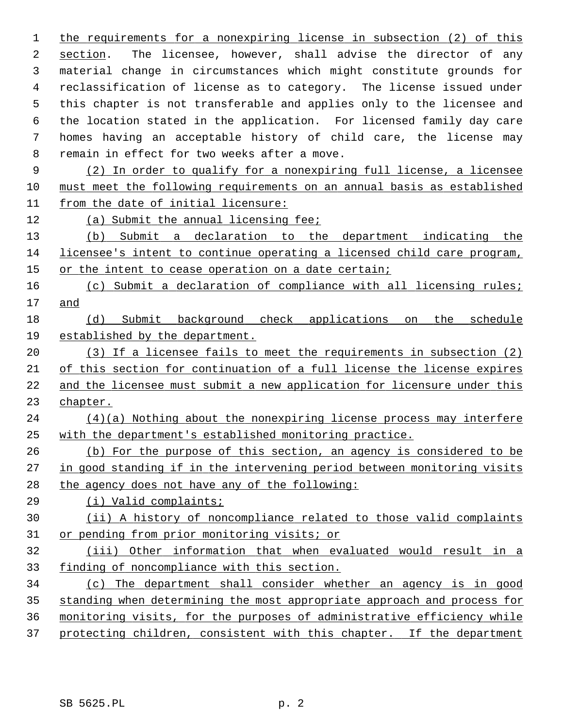the requirements for a nonexpiring license in subsection (2) of this section. The licensee, however, shall advise the director of any 3 material change in circumstances which might constitute grounds for 4 reclassification of license as to category. The license issued under 5 this chapter is not transferable and applies only to the licensee and 6 the location stated in the application. For licensed family day care 7 homes having an acceptable history of child care, the license may 8 remain in effect for two weeks after a move.

 (2) In order to qualify for a nonexpiring full license, a licensee must meet the following requirements on an annual basis as established from the date of initial licensure:

(a) Submit the annual licensing fee;

 (b) Submit a declaration to the department indicating the licensee's intent to continue operating a licensed child care program, 15 or the intent to cease operation on a date certain;

 (c) Submit a declaration of compliance with all licensing rules; and

# (d) Submit background check applications on the schedule established by the department.

 (3) If a licensee fails to meet the requirements in subsection (2) of this section for continuation of a full license the license expires and the licensee must submit a new application for licensure under this chapter.

 (4)(a) Nothing about the nonexpiring license process may interfere with the department's established monitoring practice.

 (b) For the purpose of this section, an agency is considered to be in good standing if in the intervening period between monitoring visits the agency does not have any of the following:

(i) Valid complaints;

## (ii) A history of noncompliance related to those valid complaints or pending from prior monitoring visits; or

 (iii) Other information that when evaluated would result in a finding of noncompliance with this section.

 (c) The department shall consider whether an agency is in good standing when determining the most appropriate approach and process for monitoring visits, for the purposes of administrative efficiency while 37 protecting children, consistent with this chapter. If the department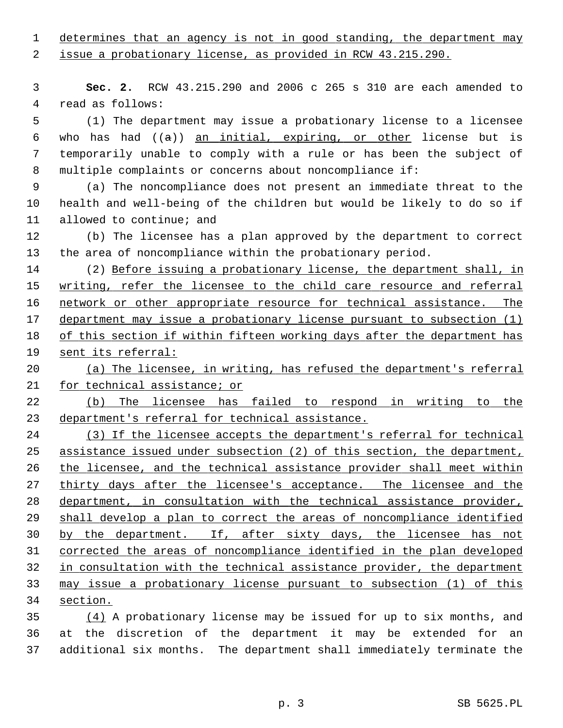determines that an agency is not in good standing, the department may

issue a probationary license, as provided in RCW 43.215.290.

 **Sec. 2.** RCW 43.215.290 and 2006 c 265 s 310 are each amended to 4 read as follows:

 5 (1) The department may issue a probationary license to a licensee 6 who has had  $((a))$  an initial, expiring, or other license but is 7 temporarily unable to comply with a rule or has been the subject of 8 multiple complaints or concerns about noncompliance if:

 9 (a) The noncompliance does not present an immediate threat to the 10 health and well-being of the children but would be likely to do so if 11 allowed to continue; and

12 (b) The licensee has a plan approved by the department to correct 13 the area of noncompliance within the probationary period.

14 (2) Before issuing a probationary license, the department shall, in writing, refer the licensee to the child care resource and referral network or other appropriate resource for technical assistance. The department may issue a probationary license pursuant to subsection (1) of this section if within fifteen working days after the department has sent its referral:

 (a) The licensee, in writing, has refused the department's referral for technical assistance; or

 (b) The licensee has failed to respond in writing to the department's referral for technical assistance.

 (3) If the licensee accepts the department's referral for technical assistance issued under subsection (2) of this section, the department, the licensee, and the technical assistance provider shall meet within 27 thirty days after the licensee's acceptance. The licensee and the department, in consultation with the technical assistance provider, shall develop a plan to correct the areas of noncompliance identified by the department. If, after sixty days, the licensee has not corrected the areas of noncompliance identified in the plan developed in consultation with the technical assistance provider, the department may issue a probationary license pursuant to subsection (1) of this section.

 (4) A probationary license may be issued for up to six months, and 36 at the discretion of the department it may be extended for an 37 additional six months. The department shall immediately terminate the